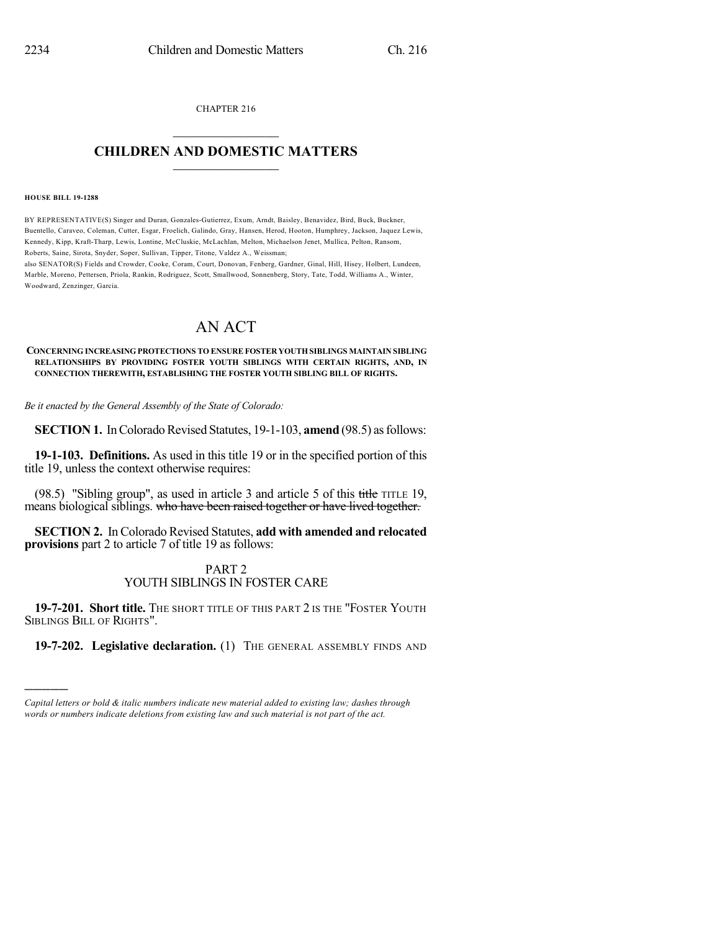CHAPTER 216  $\overline{\phantom{a}}$  . The set of the set of the set of the set of the set of the set of the set of the set of the set of the set of the set of the set of the set of the set of the set of the set of the set of the set of the set o

## **CHILDREN AND DOMESTIC MATTERS**  $\_$

#### **HOUSE BILL 19-1288**

)))))

BY REPRESENTATIVE(S) Singer and Duran, Gonzales-Gutierrez, Exum, Arndt, Baisley, Benavidez, Bird, Buck, Buckner, Buentello, Caraveo, Coleman, Cutter, Esgar, Froelich, Galindo, Gray, Hansen, Herod, Hooton, Humphrey, Jackson, Jaquez Lewis, Kennedy, Kipp, Kraft-Tharp, Lewis, Lontine, McCluskie, McLachlan, Melton, Michaelson Jenet, Mullica, Pelton, Ransom, Roberts, Saine, Sirota, Snyder, Soper, Sullivan, Tipper, Titone, Valdez A., Weissman;

also SENATOR(S) Fields and Crowder, Cooke, Coram, Court, Donovan, Fenberg, Gardner, Ginal, Hill, Hisey, Holbert, Lundeen, Marble, Moreno, Pettersen, Priola, Rankin, Rodriguez, Scott, Smallwood, Sonnenberg, Story, Tate, Todd, Williams A., Winter, Woodward, Zenzinger, Garcia.

# AN ACT

### **CONCERNING INCREASING PROTECTIONS TO ENSURE FOSTER YOUTH SIBLINGS MAINTAIN SIBLING RELATIONSHIPS BY PROVIDING FOSTER YOUTH SIBLINGS WITH CERTAIN RIGHTS, AND, IN CONNECTION THEREWITH, ESTABLISHING THE FOSTER YOUTH SIBLING BILL OF RIGHTS.**

*Be it enacted by the General Assembly of the State of Colorado:*

**SECTION 1.** In Colorado Revised Statutes, 19-1-103, **amend** (98.5) as follows:

**19-1-103. Definitions.** As used in this title 19 or in the specified portion of this title 19, unless the context otherwise requires:

(98.5) "Sibling group", as used in article 3 and article 5 of this title TITLE 19, means biological siblings. who have been raised together or have lived together.

**SECTION 2.** In Colorado Revised Statutes, **add with amended and relocated provisions** part 2 to article 7 of title 19 as follows:

## PART 2 YOUTH SIBLINGS IN FOSTER CARE

**19-7-201. Short title.** THE SHORT TITLE OF THIS PART 2 IS THE "FOSTER YOUTH SIBLINGS BILL OF RIGHTS".

**19-7-202. Legislative declaration.** (1) THE GENERAL ASSEMBLY FINDS AND

*Capital letters or bold & italic numbers indicate new material added to existing law; dashes through words or numbers indicate deletions from existing law and such material is not part of the act.*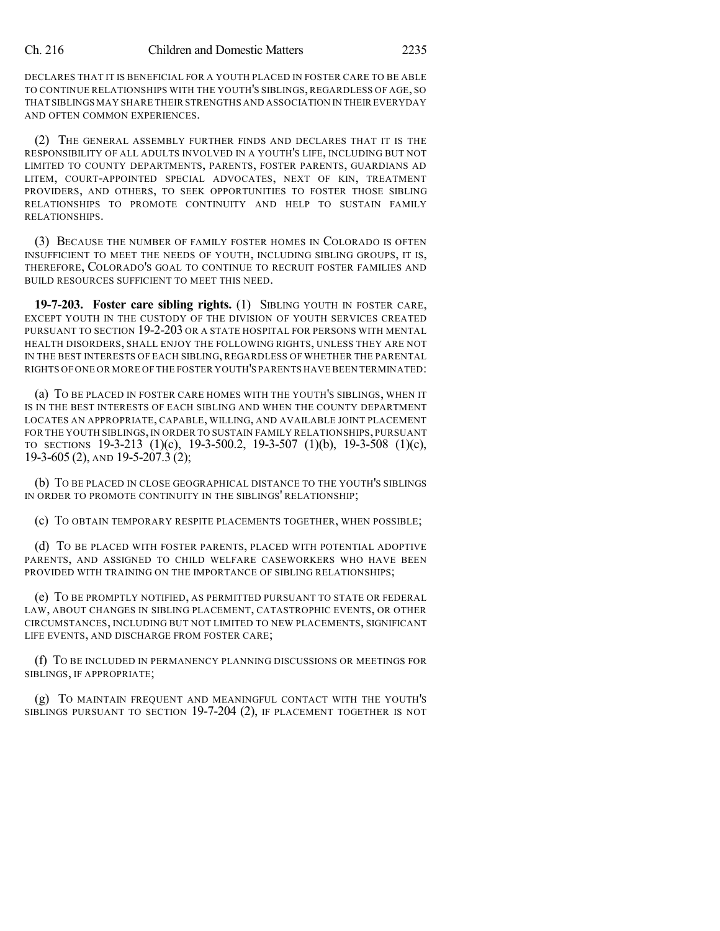DECLARES THAT IT IS BENEFICIAL FOR A YOUTH PLACED IN FOSTER CARE TO BE ABLE TO CONTINUE RELATIONSHIPS WITH THE YOUTH'S SIBLINGS, REGARDLESS OF AGE, SO THAT SIBLINGS MAY SHARE THEIR STRENGTHS AND ASSOCIATION IN THEIR EVERYDAY AND OFTEN COMMON EXPERIENCES.

(2) THE GENERAL ASSEMBLY FURTHER FINDS AND DECLARES THAT IT IS THE RESPONSIBILITY OF ALL ADULTS INVOLVED IN A YOUTH'S LIFE, INCLUDING BUT NOT LIMITED TO COUNTY DEPARTMENTS, PARENTS, FOSTER PARENTS, GUARDIANS AD LITEM, COURT-APPOINTED SPECIAL ADVOCATES, NEXT OF KIN, TREATMENT PROVIDERS, AND OTHERS, TO SEEK OPPORTUNITIES TO FOSTER THOSE SIBLING RELATIONSHIPS TO PROMOTE CONTINUITY AND HELP TO SUSTAIN FAMILY RELATIONSHIPS.

(3) BECAUSE THE NUMBER OF FAMILY FOSTER HOMES IN COLORADO IS OFTEN INSUFFICIENT TO MEET THE NEEDS OF YOUTH, INCLUDING SIBLING GROUPS, IT IS, THEREFORE, COLORADO'S GOAL TO CONTINUE TO RECRUIT FOSTER FAMILIES AND BUILD RESOURCES SUFFICIENT TO MEET THIS NEED.

**19-7-203. Foster care sibling rights.** (1) SIBLING YOUTH IN FOSTER CARE, EXCEPT YOUTH IN THE CUSTODY OF THE DIVISION OF YOUTH SERVICES CREATED PURSUANT TO SECTION 19-2-203 OR A STATE HOSPITAL FOR PERSONS WITH MENTAL HEALTH DISORDERS, SHALL ENJOY THE FOLLOWING RIGHTS, UNLESS THEY ARE NOT IN THE BEST INTERESTS OF EACH SIBLING, REGARDLESS OF WHETHER THE PARENTAL RIGHTS OF ONE OR MORE OF THE FOSTER YOUTH'S PARENTS HAVE BEEN TERMINATED:

(a) TO BE PLACED IN FOSTER CARE HOMES WITH THE YOUTH'S SIBLINGS, WHEN IT IS IN THE BEST INTERESTS OF EACH SIBLING AND WHEN THE COUNTY DEPARTMENT LOCATES AN APPROPRIATE, CAPABLE, WILLING, AND AVAILABLE JOINT PLACEMENT FOR THE YOUTH SIBLINGS, IN ORDER TO SUSTAIN FAMILY RELATIONSHIPS, PURSUANT TO SECTIONS 19-3-213 (1)(c), 19-3-500.2, 19-3-507 (1)(b), 19-3-508 (1)(c), 19-3-605 (2), AND 19-5-207.3 (2);

(b) TO BE PLACED IN CLOSE GEOGRAPHICAL DISTANCE TO THE YOUTH'S SIBLINGS IN ORDER TO PROMOTE CONTINUITY IN THE SIBLINGS' RELATIONSHIP;

(c) TO OBTAIN TEMPORARY RESPITE PLACEMENTS TOGETHER, WHEN POSSIBLE;

(d) TO BE PLACED WITH FOSTER PARENTS, PLACED WITH POTENTIAL ADOPTIVE PARENTS, AND ASSIGNED TO CHILD WELFARE CASEWORKERS WHO HAVE BEEN PROVIDED WITH TRAINING ON THE IMPORTANCE OF SIBLING RELATIONSHIPS;

(e) TO BE PROMPTLY NOTIFIED, AS PERMITTED PURSUANT TO STATE OR FEDERAL LAW, ABOUT CHANGES IN SIBLING PLACEMENT, CATASTROPHIC EVENTS, OR OTHER CIRCUMSTANCES, INCLUDING BUT NOT LIMITED TO NEW PLACEMENTS, SIGNIFICANT LIFE EVENTS, AND DISCHARGE FROM FOSTER CARE;

(f) TO BE INCLUDED IN PERMANENCY PLANNING DISCUSSIONS OR MEETINGS FOR SIBLINGS, IF APPROPRIATE;

(g) TO MAINTAIN FREQUENT AND MEANINGFUL CONTACT WITH THE YOUTH'S SIBLINGS PURSUANT TO SECTION 19-7-204 (2), IF PLACEMENT TOGETHER IS NOT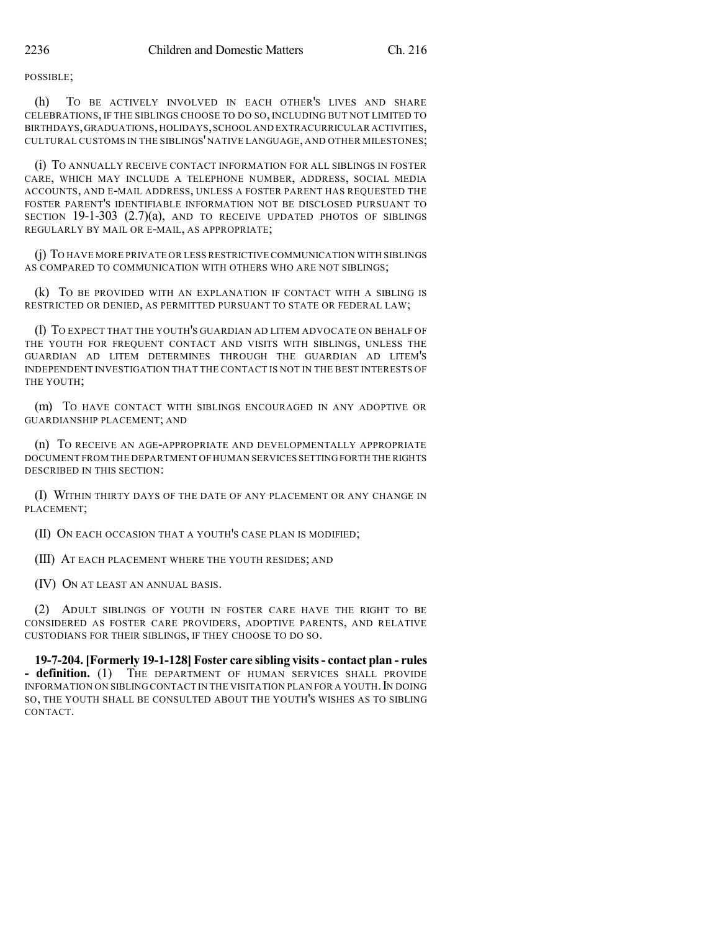POSSIBLE;

(h) TO BE ACTIVELY INVOLVED IN EACH OTHER'S LIVES AND SHARE CELEBRATIONS, IF THE SIBLINGS CHOOSE TO DO SO, INCLUDING BUT NOT LIMITED TO BIRTHDAYS,GRADUATIONS,HOLIDAYS,SCHOOL AND EXTRACURRICULAR ACTIVITIES, CULTURAL CUSTOMS IN THE SIBLINGS'NATIVE LANGUAGE, AND OTHER MILESTONES;

(i) TO ANNUALLY RECEIVE CONTACT INFORMATION FOR ALL SIBLINGS IN FOSTER CARE, WHICH MAY INCLUDE A TELEPHONE NUMBER, ADDRESS, SOCIAL MEDIA ACCOUNTS, AND E-MAIL ADDRESS, UNLESS A FOSTER PARENT HAS REQUESTED THE FOSTER PARENT'S IDENTIFIABLE INFORMATION NOT BE DISCLOSED PURSUANT TO SECTION  $19-1-303$   $(2.7)(a)$ , and to receive updated photos of siblings REGULARLY BY MAIL OR E-MAIL, AS APPROPRIATE;

(j) TO HAVE MORE PRIVATE OR LESS RESTRICTIVE COMMUNICATION WITH SIBLINGS AS COMPARED TO COMMUNICATION WITH OTHERS WHO ARE NOT SIBLINGS;

(k) TO BE PROVIDED WITH AN EXPLANATION IF CONTACT WITH A SIBLING IS RESTRICTED OR DENIED, AS PERMITTED PURSUANT TO STATE OR FEDERAL LAW;

(l) TO EXPECT THAT THE YOUTH'S GUARDIAN AD LITEM ADVOCATE ON BEHALF OF THE YOUTH FOR FREQUENT CONTACT AND VISITS WITH SIBLINGS, UNLESS THE GUARDIAN AD LITEM DETERMINES THROUGH THE GUARDIAN AD LITEM'S INDEPENDENT INVESTIGATION THAT THE CONTACT IS NOT IN THE BEST INTERESTS OF THE YOUTH;

(m) TO HAVE CONTACT WITH SIBLINGS ENCOURAGED IN ANY ADOPTIVE OR GUARDIANSHIP PLACEMENT; AND

(n) TO RECEIVE AN AGE-APPROPRIATE AND DEVELOPMENTALLY APPROPRIATE DOCUMENT FROM THE DEPARTMENT OF HUMAN SERVICES SETTINGFORTH THE RIGHTS DESCRIBED IN THIS SECTION:

(I) WITHIN THIRTY DAYS OF THE DATE OF ANY PLACEMENT OR ANY CHANGE IN PLACEMENT;

(II) ON EACH OCCASION THAT A YOUTH'S CASE PLAN IS MODIFIED;

(III) AT EACH PLACEMENT WHERE THE YOUTH RESIDES; AND

(IV) ON AT LEAST AN ANNUAL BASIS.

(2) ADULT SIBLINGS OF YOUTH IN FOSTER CARE HAVE THE RIGHT TO BE CONSIDERED AS FOSTER CARE PROVIDERS, ADOPTIVE PARENTS, AND RELATIVE CUSTODIANS FOR THEIR SIBLINGS, IF THEY CHOOSE TO DO SO.

**19-7-204. [Formerly 19-1-128] Foster care sibling visits- contact plan - rules - definition.** (1) THE DEPARTMENT OF HUMAN SERVICES SHALL PROVIDE INFORMATION ON SIBLING CONTACT IN THE VISITATION PLAN FOR A YOUTH. IN DOING SO, THE YOUTH SHALL BE CONSULTED ABOUT THE YOUTH'S WISHES AS TO SIBLING CONTACT.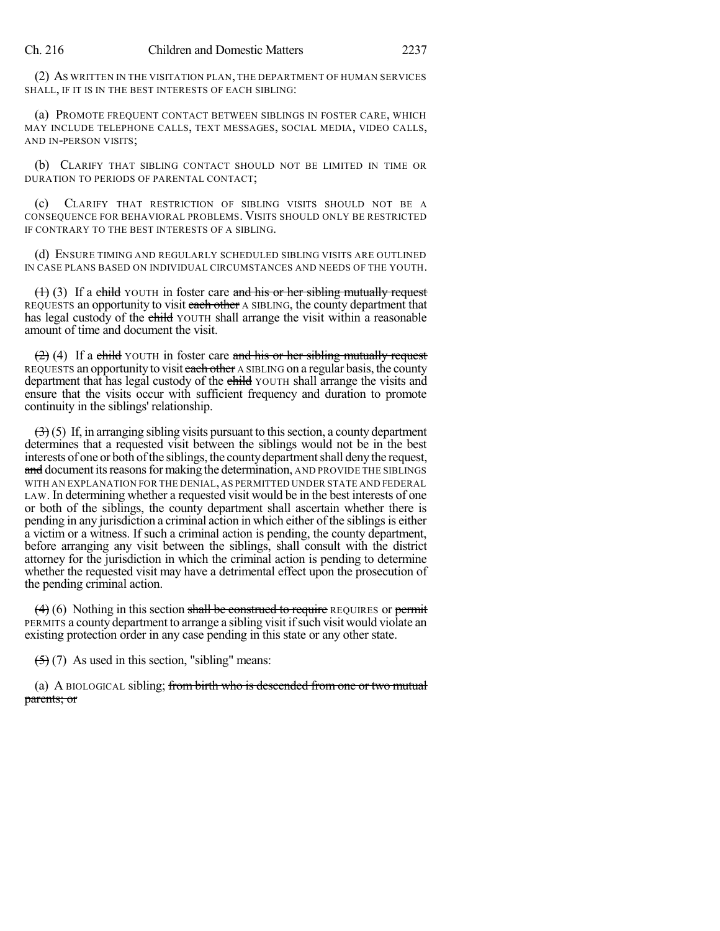(2) AS WRITTEN IN THE VISITATION PLAN, THE DEPARTMENT OF HUMAN SERVICES SHALL, IF IT IS IN THE BEST INTERESTS OF EACH SIBLING:

(a) PROMOTE FREQUENT CONTACT BETWEEN SIBLINGS IN FOSTER CARE, WHICH MAY INCLUDE TELEPHONE CALLS, TEXT MESSAGES, SOCIAL MEDIA, VIDEO CALLS, AND IN-PERSON VISITS;

(b) CLARIFY THAT SIBLING CONTACT SHOULD NOT BE LIMITED IN TIME OR DURATION TO PERIODS OF PARENTAL CONTACT;

(c) CLARIFY THAT RESTRICTION OF SIBLING VISITS SHOULD NOT BE A CONSEQUENCE FOR BEHAVIORAL PROBLEMS. VISITS SHOULD ONLY BE RESTRICTED IF CONTRARY TO THE BEST INTERESTS OF A SIBLING.

(d) ENSURE TIMING AND REGULARLY SCHEDULED SIBLING VISITS ARE OUTLINED IN CASE PLANS BASED ON INDIVIDUAL CIRCUMSTANCES AND NEEDS OF THE YOUTH.

 $(1)$  (3) If a child YOUTH in foster care and his or her sibling mutually request REQUESTS an opportunity to visit each other A SIBLING, the county department that has legal custody of the child YOUTH shall arrange the visit within a reasonable amount of time and document the visit.

 $(2)$  (4) If a child YOUTH in foster care and his or her sibling mutually request REQUESTS an opportunity to visit each other A SIBLING on a regular basis, the county department that has legal custody of the child YOUTH shall arrange the visits and ensure that the visits occur with sufficient frequency and duration to promote continuity in the siblings' relationship.

 $(3)$  (5) If, in arranging sibling visits pursuant to this section, a county department determines that a requested visit between the siblings would not be in the best interests of one or both of the siblings, the county department shall deny the request, and document its reasons for making the determination, AND PROVIDE THE SIBLINGS WITH AN EXPLANATION FOR THE DENIAL, AS PERMITTED UNDER STATE AND FEDERAL LAW. In determining whether a requested visit would be in the best interests of one or both of the siblings, the county department shall ascertain whether there is pending in any jurisdiction a criminal action in which either of the siblingsis either a victim or a witness. If such a criminal action is pending, the county department, before arranging any visit between the siblings, shall consult with the district attorney for the jurisdiction in which the criminal action is pending to determine whether the requested visit may have a detrimental effect upon the prosecution of the pending criminal action.

 $(4)$  (6) Nothing in this section shall be construed to require REQUIRES or permit PERMITS a county department to arrange a sibling visit ifsuch visit would violate an existing protection order in any case pending in this state or any other state.

 $(5)(7)$  As used in this section, "sibling" means:

(a) A BIOLOGICAL sibling; from birth who is deseended from one or two mutual parents; or